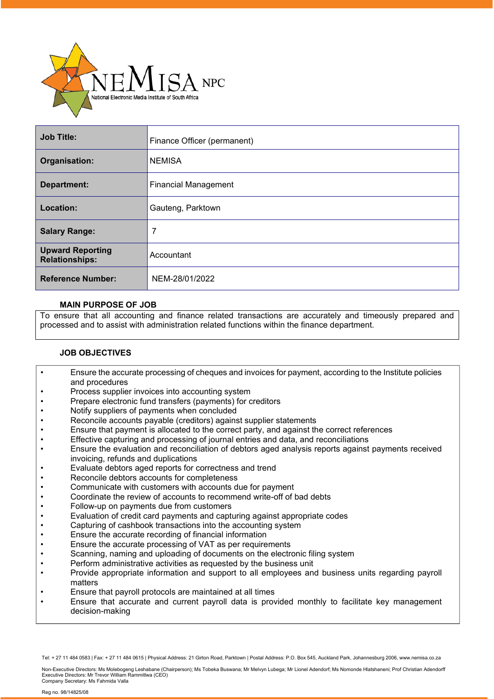

| <b>Job Title:</b>                                | Finance Officer (permanent) |
|--------------------------------------------------|-----------------------------|
| Organisation:                                    | <b>NEMISA</b>               |
| <b>Department:</b>                               | <b>Financial Management</b> |
| Location:                                        | Gauteng, Parktown           |
| <b>Salary Range:</b>                             | 7                           |
| <b>Upward Reporting</b><br><b>Relationships:</b> | Accountant                  |
| <b>Reference Number:</b>                         | NEM-28/01/2022              |

## **MAIN PURPOSE OF JOB**

To ensure that all accounting and finance related transactions are accurately and timeously prepared and processed and to assist with administration related functions within the finance department.

## **JOB OBJECTIVES**

- Ensure the accurate processing of cheques and invoices for payment, according to the Institute policies and procedures
- Process supplier invoices into accounting system
- Prepare electronic fund transfers (payments) for creditors
- Notify suppliers of payments when concluded
- Reconcile accounts payable (creditors) against supplier statements
- Ensure that payment is allocated to the correct party, and against the correct references
- Effective capturing and processing of journal entries and data, and reconciliations
- Ensure the evaluation and reconciliation of debtors aged analysis reports against payments received invoicing, refunds and duplications
- Evaluate debtors aged reports for correctness and trend
- Reconcile debtors accounts for completeness
- Communicate with customers with accounts due for payment
- Coordinate the review of accounts to recommend write-off of bad debts
- Follow-up on payments due from customers
- Evaluation of credit card payments and capturing against appropriate codes
- Capturing of cashbook transactions into the accounting system
- Ensure the accurate recording of financial information
- Ensure the accurate processing of VAT as per requirements
- Scanning, naming and uploading of documents on the electronic filing system
- Perform administrative activities as requested by the business unit
- Provide appropriate information and support to all employees and business units regarding payroll matters
- Ensure that payroll protocols are maintained at all times
- Ensure that accurate and current payroll data is provided monthly to facilitate key management decision-making

Tel: + 27 11 484 0583 | Fax: + 27 11 484 0615 | Physical Address: 21 Girton Road, Parktown | Postal Address: P.O. Box 545, Auckland Park, Johannesburg 2006, [www.nemisa.co.za](http://www.nemisa.co.za/)

Non-Executive Directors: Ms Molebogeng Leshabane (Chairperson); Ms Tobeka Buswana; Mr Melvyn Lubega; Mr Lionel Adendorf; Ms Nomonde Hlatshaneni; Prof Christian Adendorff<br>Executive Directors: Mr Trevor William Rammitlwa (CE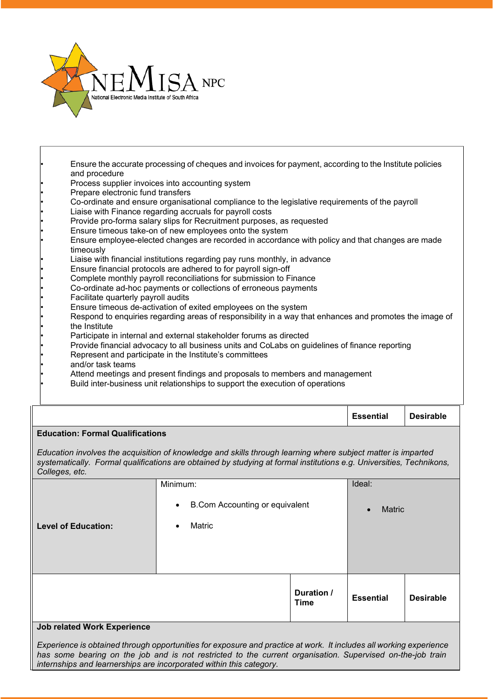

- Ensure the accurate processing of cheques and invoices for payment, according to the Institute policies and procedure
- Process supplier invoices into accounting system
- Prepare electronic fund transfers
- Co-ordinate and ensure organisational compliance to the legislative requirements of the payroll
- Liaise with Finance regarding accruals for payroll costs
- Provide pro-forma salary slips for Recruitment purposes, as requested
- Ensure timeous take-on of new employees onto the system
- Ensure employee-elected changes are recorded in accordance with policy and that changes are made timeously
- Liaise with financial institutions regarding pay runs monthly, in advance
- Ensure financial protocols are adhered to for payroll sign-off
- Complete monthly payroll reconciliations for submission to Finance
- Co-ordinate ad-hoc payments or collections of erroneous payments
- Facilitate quarterly payroll audits
- Ensure timeous de-activation of exited employees on the system
- Respond to enquiries regarding areas of responsibility in a way that enhances and promotes the image of the Institute
- Participate in internal and external stakeholder forums as directed
- Provide financial advocacy to all business units and CoLabs on guidelines of finance reporting
- Represent and participate in the Institute's committees
- and/or task teams
- Attend meetings and present findings and proposals to members and management
- Build inter-business unit relationships to support the execution of operations

|                                                                                                                                                                                                                                                        |                     |                           | <b>Essential</b>           | <b>Desirable</b> |  |  |  |
|--------------------------------------------------------------------------------------------------------------------------------------------------------------------------------------------------------------------------------------------------------|---------------------|---------------------------|----------------------------|------------------|--|--|--|
| <b>Education: Formal Qualifications</b>                                                                                                                                                                                                                |                     |                           |                            |                  |  |  |  |
| Education involves the acquisition of knowledge and skills through learning where subject matter is imparted<br>systematically. Formal qualifications are obtained by studying at formal institutions e.g. Universities, Technikons,<br>Colleges, etc. |                     |                           |                            |                  |  |  |  |
|                                                                                                                                                                                                                                                        | Minimum:            |                           | Ideal:                     |                  |  |  |  |
| <b>B.Com Accounting or equivalent</b><br>$\bullet$                                                                                                                                                                                                     |                     |                           | <b>Matric</b><br>$\bullet$ |                  |  |  |  |
| <b>Level of Education:</b>                                                                                                                                                                                                                             | Matric<br>$\bullet$ |                           |                            |                  |  |  |  |
|                                                                                                                                                                                                                                                        |                     |                           |                            |                  |  |  |  |
|                                                                                                                                                                                                                                                        |                     |                           |                            |                  |  |  |  |
|                                                                                                                                                                                                                                                        |                     | Duration /<br><b>Time</b> | <b>Essential</b>           | <b>Desirable</b> |  |  |  |
| <b>Job related Work Experience</b>                                                                                                                                                                                                                     |                     |                           |                            |                  |  |  |  |

Experience is obtained through opportunities for exposure and practice at work. It includes all working experience has some bearing on the job and is not restricted to the current organisation. Supervised on-the-job train *internships and learnerships are incorporated within this category.*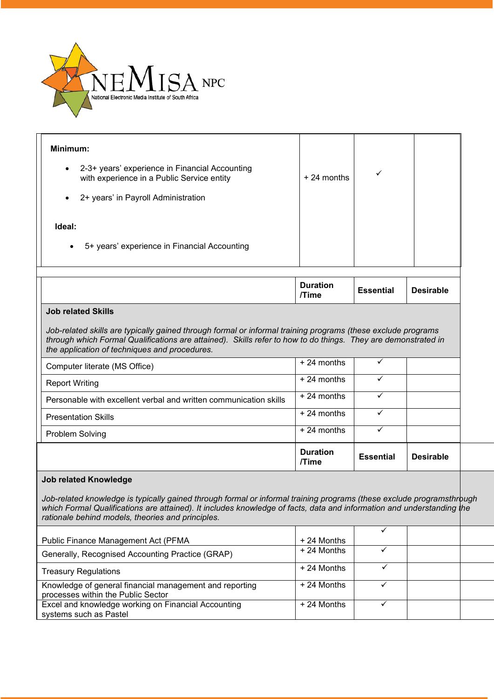

| Minimum:                                                                                                                                                                                                                                                                                            |                          |                  |                  |  |  |  |
|-----------------------------------------------------------------------------------------------------------------------------------------------------------------------------------------------------------------------------------------------------------------------------------------------------|--------------------------|------------------|------------------|--|--|--|
| 2-3+ years' experience in Financial Accounting<br>with experience in a Public Service entity                                                                                                                                                                                                        | $+24$ months             | ✓                |                  |  |  |  |
| 2+ years' in Payroll Administration                                                                                                                                                                                                                                                                 |                          |                  |                  |  |  |  |
| Ideal:                                                                                                                                                                                                                                                                                              |                          |                  |                  |  |  |  |
| 5+ years' experience in Financial Accounting<br>$\bullet$                                                                                                                                                                                                                                           |                          |                  |                  |  |  |  |
|                                                                                                                                                                                                                                                                                                     | <b>Duration</b><br>/Time | <b>Essential</b> | <b>Desirable</b> |  |  |  |
| <b>Job related Skills</b>                                                                                                                                                                                                                                                                           |                          |                  |                  |  |  |  |
| Job-related skills are typically gained through formal or informal training programs (these exclude programs<br>through which Formal Qualifications are attained). Skills refer to how to do things. They are demonstrated in<br>the application of techniques and procedures.                      |                          |                  |                  |  |  |  |
| Computer literate (MS Office)                                                                                                                                                                                                                                                                       | $+24$ months             | ✓                |                  |  |  |  |
| <b>Report Writing</b>                                                                                                                                                                                                                                                                               | $+24$ months             | ✓                |                  |  |  |  |
| Personable with excellent verbal and written communication skills                                                                                                                                                                                                                                   | +24 months               | ✓                |                  |  |  |  |
| <b>Presentation Skills</b>                                                                                                                                                                                                                                                                          | $+24$ months             | ✓                |                  |  |  |  |
| Problem Solving                                                                                                                                                                                                                                                                                     | +24 months               | ✓                |                  |  |  |  |
|                                                                                                                                                                                                                                                                                                     | <b>Duration</b><br>/Time | <b>Essential</b> | <b>Desirable</b> |  |  |  |
| <b>Job related Knowledge</b>                                                                                                                                                                                                                                                                        |                          |                  |                  |  |  |  |
| Job-related knowledge is typically gained through formal or informal training programs (these exclude programsthrough<br>which Formal Qualifications are attained). It includes knowledge of facts, data and information and understanding the<br>rationale behind models, theories and principles. |                          |                  |                  |  |  |  |
| Public Finance Management Act (PFMA                                                                                                                                                                                                                                                                 | + 24 Months              | $\checkmark$     |                  |  |  |  |
| Generally, Recognised Accounting Practice (GRAP)                                                                                                                                                                                                                                                    | + 24 Months              | $\checkmark$     |                  |  |  |  |
| <b>Treasury Regulations</b>                                                                                                                                                                                                                                                                         | + 24 Months              | ✓                |                  |  |  |  |
| Knowledge of general financial management and reporting                                                                                                                                                                                                                                             | $\pm$ 24 Months          |                  |                  |  |  |  |

| Public Finance Management Act (PFMA                     | $+24$ Months |  |  |
|---------------------------------------------------------|--------------|--|--|
| Generally, Recognised Accounting Practice (GRAP)        | + 24 Months  |  |  |
| <b>Treasury Regulations</b>                             | $+24$ Months |  |  |
| Knowledge of general financial management and reporting | + 24 Months  |  |  |
| processes within the Public Sector                      |              |  |  |
| Excel and knowledge working on Financial Accounting     | $+24$ Months |  |  |
| systems such as Pastel                                  |              |  |  |